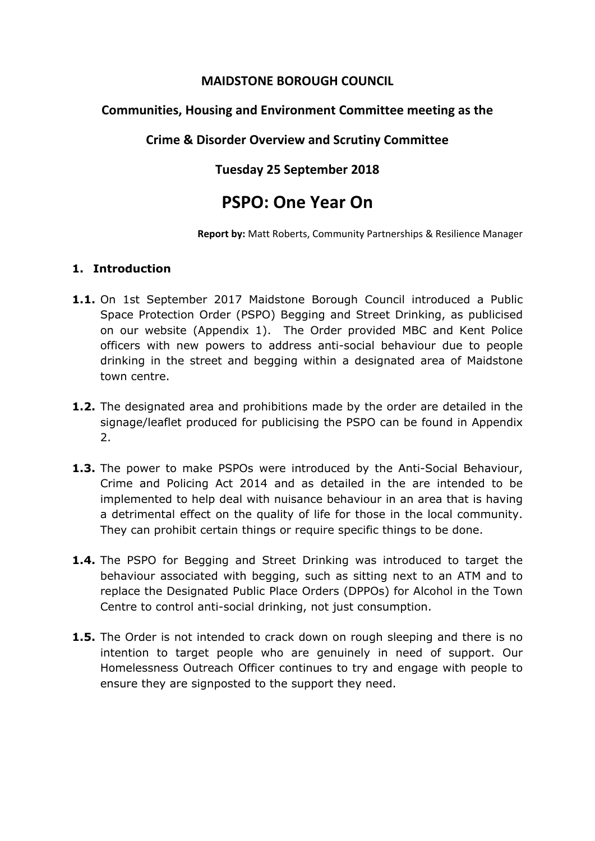## **MAIDSTONE BOROUGH COUNCIL**

# **Communities, Housing and Environment Committee meeting as the**

# **Crime & Disorder Overview and Scrutiny Committee**

# **Tuesday 25 September 2018**

# **PSPO: One Year On**

**Report by:** Matt Roberts, Community Partnerships & Resilience Manager

## **1. Introduction**

- **1.1.** On 1st September 2017 Maidstone Borough Council introduced a Public Space Protection Order (PSPO) Begging and Street Drinking, as publicised on our website (Appendix 1). The Order provided MBC and Kent Police officers with new powers to address anti-social behaviour due to people drinking in the street and begging within a designated area of Maidstone town centre.
- **1.2.** The designated area and prohibitions made by the order are detailed in the signage/leaflet produced for publicising the PSPO can be found in Appendix 2.
- **1.3.** The power to make PSPOs were introduced by the Anti-Social Behaviour, Crime and Policing Act 2014 and as detailed in the are intended to be implemented to help deal with nuisance behaviour in an area that is having a detrimental effect on the quality of life for those in the local community. They can prohibit certain things or require specific things to be done.
- **1.4.** The PSPO for Begging and Street Drinking was introduced to target the behaviour associated with begging, such as sitting next to an ATM and to replace the Designated Public Place Orders (DPPOs) for Alcohol in the Town Centre to control anti-social drinking, not just consumption.
- **1.5.** The Order is not intended to crack down on rough sleeping and there is no intention to target people who are genuinely in need of support. Our Homelessness Outreach Officer continues to try and engage with people to ensure they are signposted to the support they need.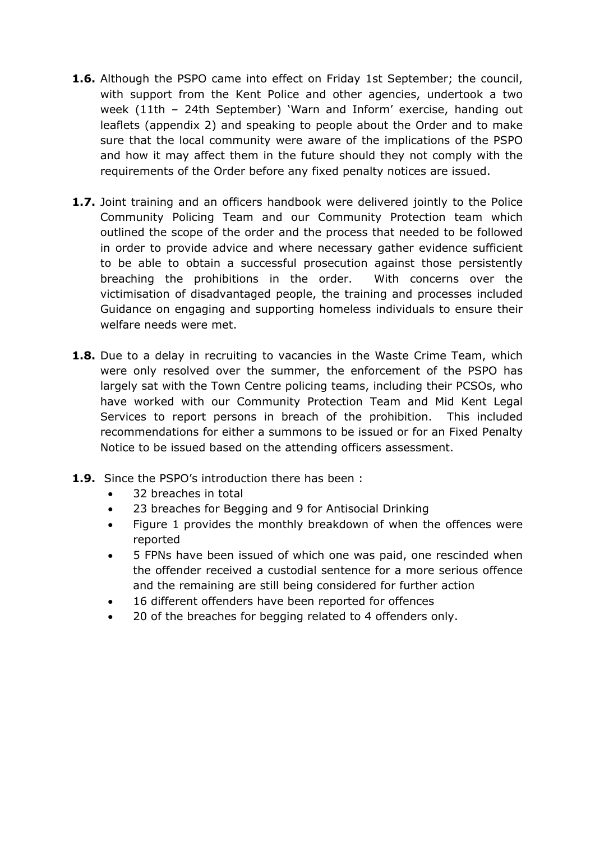- **1.6.** Although the PSPO came into effect on Friday 1st September; the council, with support from the Kent Police and other agencies, undertook a two week (11th – 24th September) 'Warn and Inform' exercise, handing out leaflets (appendix 2) and speaking to people about the Order and to make sure that the local community were aware of the implications of the PSPO and how it may affect them in the future should they not comply with the requirements of the Order before any fixed penalty notices are issued.
- **1.7.** Joint training and an officers handbook were delivered jointly to the Police Community Policing Team and our Community Protection team which outlined the scope of the order and the process that needed to be followed in order to provide advice and where necessary gather evidence sufficient to be able to obtain a successful prosecution against those persistently breaching the prohibitions in the order. With concerns over the victimisation of disadvantaged people, the training and processes included Guidance on engaging and supporting homeless individuals to ensure their welfare needs were met.
- **1.8.** Due to a delay in recruiting to vacancies in the Waste Crime Team, which were only resolved over the summer, the enforcement of the PSPO has largely sat with the Town Centre policing teams, including their PCSOs, who have worked with our Community Protection Team and Mid Kent Legal Services to report persons in breach of the prohibition. This included recommendations for either a summons to be issued or for an Fixed Penalty Notice to be issued based on the attending officers assessment.
- **1.9.** Since the PSPO's introduction there has been :
	- 32 breaches in total
	- 23 breaches for Begging and 9 for Antisocial Drinking
	- Figure 1 provides the monthly breakdown of when the offences were reported
	- 5 FPNs have been issued of which one was paid, one rescinded when the offender received a custodial sentence for a more serious offence and the remaining are still being considered for further action
	- 16 different offenders have been reported for offences
	- 20 of the breaches for begging related to 4 offenders only.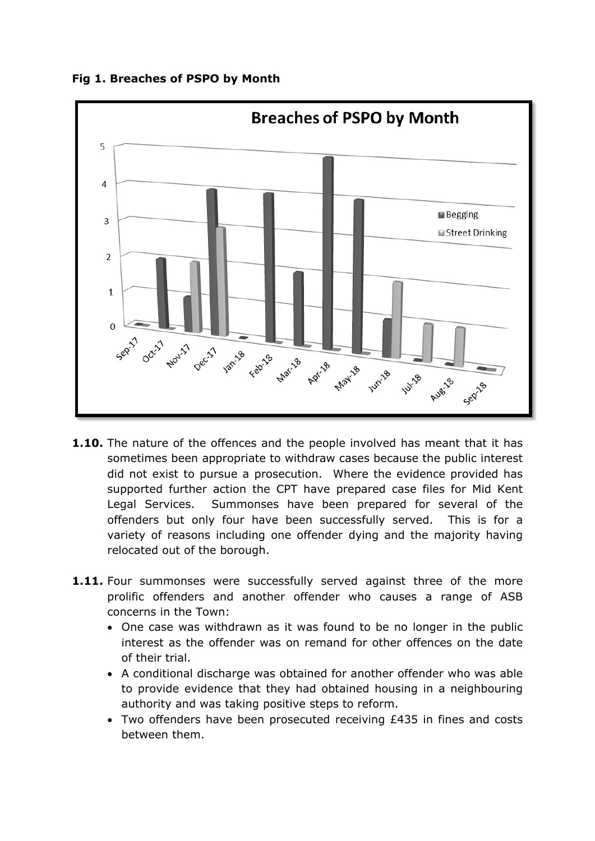**Fig 1. Breaches of PSPO by Month**



- **1.10.** The nature of the offences and the people involved has meant that it has sometimes been appropriate to withdraw cases because the public interest did not exist to pursue a prosecution. Where the evidence provided has supported further action the CPT have prepared case files for Mid Kent Legal Services. Summonses have been prepared for several of the offenders but only four have been successfully served. This is for a variety of reasons including one offender dying and the majority having relocated out of the borough.
- **1.11.** Four summonses were successfully served against three of the more prolific offenders and another offender who causes a range of ASB concerns in the Town:
	- One case was withdrawn as it was found to be no longer in the public interest as the offender was on remand for other offences on the date of their trial.
	- A conditional discharge was obtained for another offender who was able to provide evidence that they had obtained housing in a neighbouring authority and was taking positive steps to reform.
	- Two offenders have been prosecuted receiving £435 in fines and costs between them.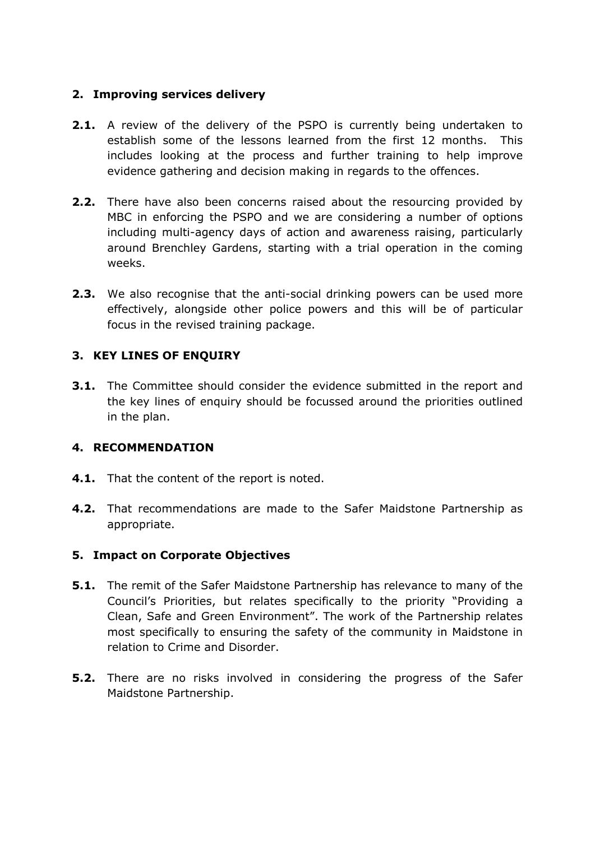## **2. Improving services delivery**

- **2.1.** A review of the delivery of the PSPO is currently being undertaken to establish some of the lessons learned from the first 12 months. This includes looking at the process and further training to help improve evidence gathering and decision making in regards to the offences.
- **2.2.** There have also been concerns raised about the resourcing provided by MBC in enforcing the PSPO and we are considering a number of options including multi-agency days of action and awareness raising, particularly around Brenchley Gardens, starting with a trial operation in the coming weeks.
- **2.3.** We also recognise that the anti-social drinking powers can be used more effectively, alongside other police powers and this will be of particular focus in the revised training package.

#### **3. KEY LINES OF ENQUIRY**

**3.1.** The Committee should consider the evidence submitted in the report and the key lines of enquiry should be focussed around the priorities outlined in the plan.

#### **4. RECOMMENDATION**

- **4.1.** That the content of the report is noted.
- **4.2.** That recommendations are made to the Safer Maidstone Partnership as appropriate.

#### **5. Impact on Corporate Objectives**

- **5.1.** The remit of the Safer Maidstone Partnership has relevance to many of the Council's Priorities, but relates specifically to the priority "Providing a Clean, Safe and Green Environment". The work of the Partnership relates most specifically to ensuring the safety of the community in Maidstone in relation to Crime and Disorder.
- **5.2.** There are no risks involved in considering the progress of the Safer Maidstone Partnership.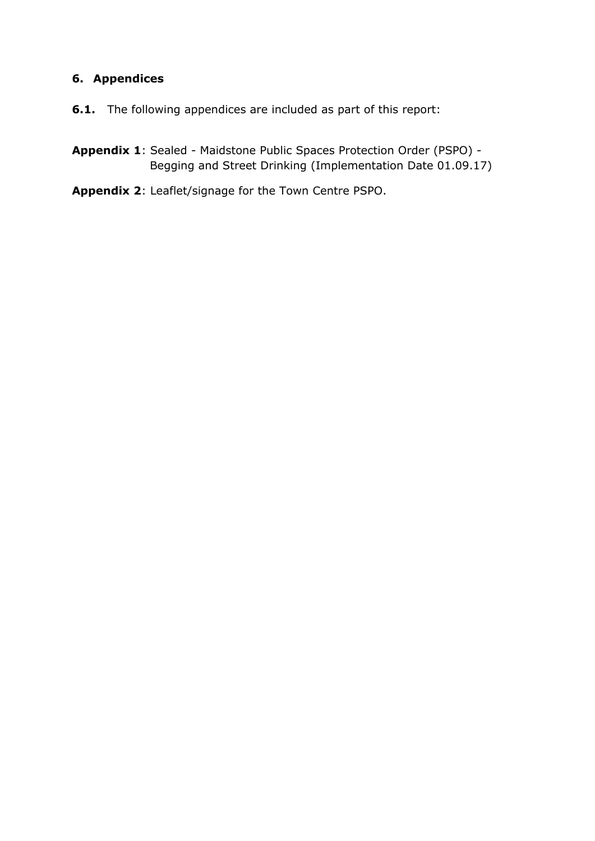## **6. Appendices**

**6.1.** The following appendices are included as part of this report:

**Appendix 1**: Sealed - Maidstone Public Spaces Protection Order (PSPO) - Begging and Street Drinking (Implementation Date 01.09.17)

**Appendix 2**: Leaflet/signage for the Town Centre PSPO.